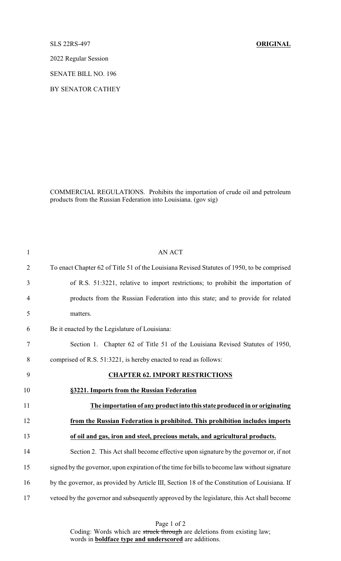SLS 22RS-497 **ORIGINAL**

2022 Regular Session

SENATE BILL NO. 196

BY SENATOR CATHEY

COMMERCIAL REGULATIONS. Prohibits the importation of crude oil and petroleum products from the Russian Federation into Louisiana. (gov sig)

| $\mathbf{1}$   | AN ACT                                                                                        |
|----------------|-----------------------------------------------------------------------------------------------|
| $\overline{2}$ | To enact Chapter 62 of Title 51 of the Louisiana Revised Statutes of 1950, to be comprised    |
| 3              | of R.S. 51:3221, relative to import restrictions; to prohibit the importation of              |
| $\overline{4}$ | products from the Russian Federation into this state; and to provide for related              |
| 5              | matters.                                                                                      |
| 6              | Be it enacted by the Legislature of Louisiana:                                                |
| 7              | Section 1. Chapter 62 of Title 51 of the Louisiana Revised Statutes of 1950,                  |
| 8              | comprised of R.S. 51:3221, is hereby enacted to read as follows:                              |
| 9              | <b>CHAPTER 62. IMPORT RESTRICTIONS</b>                                                        |
| 10             | §3221. Imports from the Russian Federation                                                    |
| 11             | The importation of any product into this state produced in or originating                     |
| 12             | from the Russian Federation is prohibited. This prohibition includes imports                  |
| 13             | of oil and gas, iron and steel, precious metals, and agricultural products.                   |
| 14             | Section 2. This Act shall become effective upon signature by the governor or, if not          |
| 15             | signed by the governor, upon expiration of the time for bills to become law without signature |
| 16             | by the governor, as provided by Article III, Section 18 of the Constitution of Louisiana. If  |
| 17             | vetoed by the governor and subsequently approved by the legislature, this Act shall become    |

Page 1 of 2 Coding: Words which are struck through are deletions from existing law; words in **boldface type and underscored** are additions.